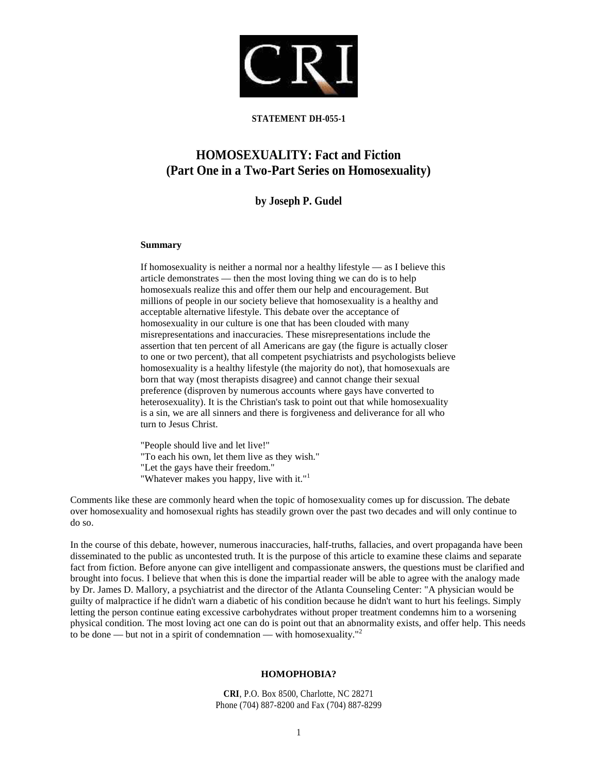

# **STATEMENT DH-055-1**

# **HOMOSEXUALITY: Fact and Fiction (Part One in a Two-Part Series on Homosexuality)**

# **by Joseph P. Gudel**

#### **Summary**

If homosexuality is neither a normal nor a healthy lifestyle — as I believe this article demonstrates — then the most loving thing we can do is to help homosexuals realize this and offer them our help and encouragement. But millions of people in our society believe that homosexuality is a healthy and acceptable alternative lifestyle. This debate over the acceptance of homosexuality in our culture is one that has been clouded with many misrepresentations and inaccuracies. These misrepresentations include the assertion that ten percent of all Americans are gay (the figure is actually closer to one or two percent), that all competent psychiatrists and psychologists believe homosexuality is a healthy lifestyle (the majority do not), that homosexuals are born that way (most therapists disagree) and cannot change their sexual preference (disproven by numerous accounts where gays have converted to heterosexuality). It is the Christian's task to point out that while homosexuality is a sin, we are all sinners and there is forgiveness and deliverance for all who turn to Jesus Christ.

"People should live and let live!" "To each his own, let them live as they wish." "Let the gays have their freedom." "Whatever makes you happy, live with it."<sup>1</sup>

Comments like these are commonly heard when the topic of homosexuality comes up for discussion. The debate over homosexuality and homosexual rights has steadily grown over the past two decades and will only continue to do so.

In the course of this debate, however, numerous inaccuracies, half-truths, fallacies, and overt propaganda have been disseminated to the public as uncontested truth. It is the purpose of this article to examine these claims and separate fact from fiction. Before anyone can give intelligent and compassionate answers, the questions must be clarified and brought into focus. I believe that when this is done the impartial reader will be able to agree with the analogy made by Dr. James D. Mallory, a psychiatrist and the director of the Atlanta Counseling Center: "A physician would be guilty of malpractice if he didn't warn a diabetic of his condition because he didn't want to hurt his feelings. Simply letting the person continue eating excessive carbohydrates without proper treatment condemns him to a worsening physical condition. The most loving act one can do is point out that an abnormality exists, and offer help. This needs to be done — but not in a spirit of condemnation — with homosexuality."<sup>2</sup>

#### **HOMOPHOBIA?**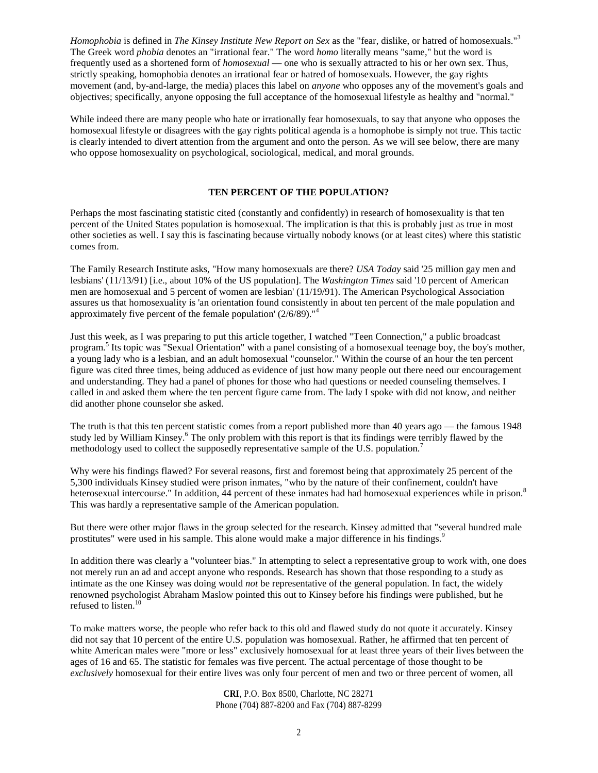*Homophobia* is defined in *The Kinsey Institute New Report on Sex* as the "fear, dislike, or hatred of homosexuals."<sup>3</sup> The Greek word *phobia* denotes an "irrational fear." The word *homo* literally means "same," but the word is frequently used as a shortened form of *homosexual* — one who is sexually attracted to his or her own sex. Thus, strictly speaking, homophobia denotes an irrational fear or hatred of homosexuals. However, the gay rights movement (and, by-and-large, the media) places this label on *anyone* who opposes any of the movement's goals and objectives; specifically, anyone opposing the full acceptance of the homosexual lifestyle as healthy and "normal."

While indeed there are many people who hate or irrationally fear homosexuals, to say that anyone who opposes the homosexual lifestyle or disagrees with the gay rights political agenda is a homophobe is simply not true. This tactic is clearly intended to divert attention from the argument and onto the person. As we will see below, there are many who oppose homosexuality on psychological, sociological, medical, and moral grounds.

# **TEN PERCENT OF THE POPULATION?**

Perhaps the most fascinating statistic cited (constantly and confidently) in research of homosexuality is that ten percent of the United States population is homosexual. The implication is that this is probably just as true in most other societies as well. I say this is fascinating because virtually nobody knows (or at least cites) where this statistic comes from.

The Family Research Institute asks, "How many homosexuals are there? *USA Today* said '25 million gay men and lesbians' (11/13/91) [i.e., about 10% of the US population]. The *Washington Times* said '10 percent of American men are homosexual and 5 percent of women are lesbian' (11/19/91). The American Psychological Association assures us that homosexuality is 'an orientation found consistently in about ten percent of the male population and approximately five percent of the female population'  $(2/6/89)$ .<sup> $4$ </sup>

Just this week, as I was preparing to put this article together, I watched "Teen Connection," a public broadcast program.<sup>5</sup> Its topic was "Sexual Orientation" with a panel consisting of a homosexual teenage boy, the boy's mother, a young lady who is a lesbian, and an adult homosexual "counselor." Within the course of an hour the ten percent figure was cited three times, being adduced as evidence of just how many people out there need our encouragement and understanding. They had a panel of phones for those who had questions or needed counseling themselves. I called in and asked them where the ten percent figure came from. The lady I spoke with did not know, and neither did another phone counselor she asked.

The truth is that this ten percent statistic comes from a report published more than 40 years ago — the famous 1948 study led by William Kinsey.<sup>6</sup> The only problem with this report is that its findings were terribly flawed by the methodology used to collect the supposedly representative sample of the U.S. population.<sup>7</sup>

Why were his findings flawed? For several reasons, first and foremost being that approximately 25 percent of the 5,300 individuals Kinsey studied were prison inmates, "who by the nature of their confinement, couldn't have heterosexual intercourse." In addition, 44 percent of these inmates had had homosexual experiences while in prison.<sup>8</sup> This was hardly a representative sample of the American population.

But there were other major flaws in the group selected for the research. Kinsey admitted that "several hundred male prostitutes" were used in his sample. This alone would make a major difference in his findings.<sup>9</sup>

In addition there was clearly a "volunteer bias." In attempting to select a representative group to work with, one does not merely run an ad and accept anyone who responds. Research has shown that those responding to a study as intimate as the one Kinsey was doing would *not* be representative of the general population. In fact, the widely renowned psychologist Abraham Maslow pointed this out to Kinsey before his findings were published, but he refused to listen.<sup>10</sup>

To make matters worse, the people who refer back to this old and flawed study do not quote it accurately. Kinsey did not say that 10 percent of the entire U.S. population was homosexual. Rather, he affirmed that ten percent of white American males were "more or less" exclusively homosexual for at least three years of their lives between the ages of 16 and 65. The statistic for females was five percent. The actual percentage of those thought to be *exclusively* homosexual for their entire lives was only four percent of men and two or three percent of women, all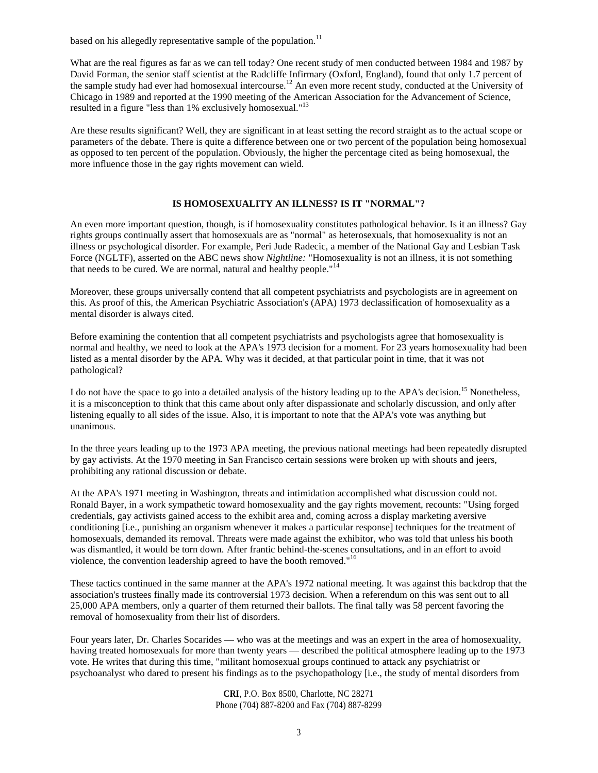based on his allegedly representative sample of the population.<sup>11</sup>

What are the real figures as far as we can tell today? One recent study of men conducted between 1984 and 1987 by David Forman, the senior staff scientist at the Radcliffe Infirmary (Oxford, England), found that only 1.7 percent of the sample study had ever had homosexual intercourse.<sup>12</sup> An even more recent study, conducted at the University of Chicago in 1989 and reported at the 1990 meeting of the American Association for the Advancement of Science, resulted in a figure "less than 1% exclusively homosexual."<sup>13</sup>

Are these results significant? Well, they are significant in at least setting the record straight as to the actual scope or parameters of the debate. There is quite a difference between one or two percent of the population being homosexual as opposed to ten percent of the population. Obviously, the higher the percentage cited as being homosexual, the more influence those in the gay rights movement can wield.

## **IS HOMOSEXUALITY AN ILLNESS? IS IT "NORMAL"?**

An even more important question, though, is if homosexuality constitutes pathological behavior. Is it an illness? Gay rights groups continually assert that homosexuals are as "normal" as heterosexuals, that homosexuality is not an illness or psychological disorder. For example, Peri Jude Radecic, a member of the National Gay and Lesbian Task Force (NGLTF), asserted on the ABC news show *Nightline:* "Homosexuality is not an illness, it is not something that needs to be cured. We are normal, natural and healthy people."<sup>14</sup>

Moreover, these groups universally contend that all competent psychiatrists and psychologists are in agreement on this. As proof of this, the American Psychiatric Association's (APA) 1973 declassification of homosexuality as a mental disorder is always cited.

Before examining the contention that all competent psychiatrists and psychologists agree that homosexuality is normal and healthy, we need to look at the APA's 1973 decision for a moment. For 23 years homosexuality had been listed as a mental disorder by the APA. Why was it decided, at that particular point in time, that it was not pathological?

I do not have the space to go into a detailed analysis of the history leading up to the APA's decision.<sup>15</sup> Nonetheless, it is a misconception to think that this came about only after dispassionate and scholarly discussion, and only after listening equally to all sides of the issue. Also, it is important to note that the APA's vote was anything but unanimous.

In the three years leading up to the 1973 APA meeting, the previous national meetings had been repeatedly disrupted by gay activists. At the 1970 meeting in San Francisco certain sessions were broken up with shouts and jeers, prohibiting any rational discussion or debate.

At the APA's 1971 meeting in Washington, threats and intimidation accomplished what discussion could not. Ronald Bayer, in a work sympathetic toward homosexuality and the gay rights movement, recounts: "Using forged credentials, gay activists gained access to the exhibit area and, coming across a display marketing aversive conditioning [i.e., punishing an organism whenever it makes a particular response] techniques for the treatment of homosexuals, demanded its removal. Threats were made against the exhibitor, who was told that unless his booth was dismantled, it would be torn down. After frantic behind-the-scenes consultations, and in an effort to avoid violence, the convention leadership agreed to have the booth removed."<sup>16</sup>

These tactics continued in the same manner at the APA's 1972 national meeting. It was against this backdrop that the association's trustees finally made its controversial 1973 decision. When a referendum on this was sent out to all 25,000 APA members, only a quarter of them returned their ballots. The final tally was 58 percent favoring the removal of homosexuality from their list of disorders.

Four years later, Dr. Charles Socarides — who was at the meetings and was an expert in the area of homosexuality, having treated homosexuals for more than twenty years — described the political atmosphere leading up to the 1973 vote. He writes that during this time, "militant homosexual groups continued to attack any psychiatrist or psychoanalyst who dared to present his findings as to the psychopathology [i.e., the study of mental disorders from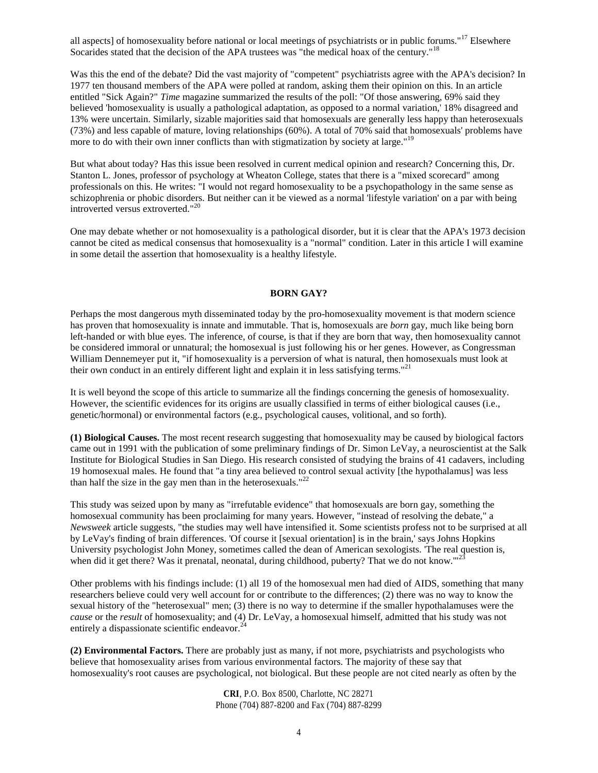all aspects] of homosexuality before national or local meetings of psychiatrists or in public forums."<sup>17</sup> Elsewhere Socarides stated that the decision of the APA trustees was "the medical hoax of the century."<sup>18</sup>

Was this the end of the debate? Did the vast majority of "competent" psychiatrists agree with the APA's decision? In 1977 ten thousand members of the APA were polled at random, asking them their opinion on this. In an article entitled "Sick Again?" *Time* magazine summarized the results of the poll: "Of those answering, 69% said they believed 'homosexuality is usually a pathological adaptation, as opposed to a normal variation,' 18% disagreed and 13% were uncertain. Similarly, sizable majorities said that homosexuals are generally less happy than heterosexuals (73%) and less capable of mature, loving relationships (60%). A total of 70% said that homosexuals' problems have more to do with their own inner conflicts than with stigmatization by society at large."<sup>19</sup>

But what about today? Has this issue been resolved in current medical opinion and research? Concerning this, Dr. Stanton L. Jones, professor of psychology at Wheaton College, states that there is a "mixed scorecard" among professionals on this. He writes: "I would not regard homosexuality to be a psychopathology in the same sense as schizophrenia or phobic disorders. But neither can it be viewed as a normal 'lifestyle variation' on a par with being introverted versus extroverted."<sup>20</sup>

One may debate whether or not homosexuality is a pathological disorder, but it is clear that the APA's 1973 decision cannot be cited as medical consensus that homosexuality is a "normal" condition. Later in this article I will examine in some detail the assertion that homosexuality is a healthy lifestyle.

#### **BORN GAY?**

Perhaps the most dangerous myth disseminated today by the pro-homosexuality movement is that modern science has proven that homosexuality is innate and immutable. That is, homosexuals are *born* gay, much like being born left-handed or with blue eyes. The inference, of course, is that if they are born that way, then homosexuality cannot be considered immoral or unnatural; the homosexual is just following his or her genes. However, as Congressman William Dennemeyer put it, "if homosexuality is a perversion of what is natural, then homosexuals must look at their own conduct in an entirely different light and explain it in less satisfying terms."<sup>21</sup>

It is well beyond the scope of this article to summarize all the findings concerning the genesis of homosexuality. However, the scientific evidences for its origins are usually classified in terms of either biological causes (i.e., genetic/hormonal) or environmental factors (e.g., psychological causes, volitional, and so forth).

**(1) Biological Causes.** The most recent research suggesting that homosexuality may be caused by biological factors came out in 1991 with the publication of some preliminary findings of Dr. Simon LeVay, a neuroscientist at the Salk Institute for Biological Studies in San Diego. His research consisted of studying the brains of 41 cadavers, including 19 homosexual males. He found that "a tiny area believed to control sexual activity [the hypothalamus] was less than half the size in the gay men than in the heterosexuals." $^{22}$ 

This study was seized upon by many as "irrefutable evidence" that homosexuals are born gay, something the homosexual community has been proclaiming for many years. However, "instead of resolving the debate," a *Newsweek* article suggests, "the studies may well have intensified it. Some scientists profess not to be surprised at all by LeVay's finding of brain differences. 'Of course it [sexual orientation] is in the brain,' says Johns Hopkins University psychologist John Money, sometimes called the dean of American sexologists. 'The real question is, when did it get there? Was it prenatal, neonatal, during childhood, puberty? That we do not know.'"<sup>23</sup>

Other problems with his findings include: (1) all 19 of the homosexual men had died of AIDS, something that many researchers believe could very well account for or contribute to the differences; (2) there was no way to know the sexual history of the "heterosexual" men; (3) there is no way to determine if the smaller hypothalamuses were the *cause* or the *result* of homosexuality; and (4) Dr. LeVay, a homosexual himself, admitted that his study was not entirely a dispassionate scientific endeavor. $^{24}$ 

**(2) Environmental Factors.** There are probably just as many, if not more, psychiatrists and psychologists who believe that homosexuality arises from various environmental factors. The majority of these say that homosexuality's root causes are psychological, not biological. But these people are not cited nearly as often by the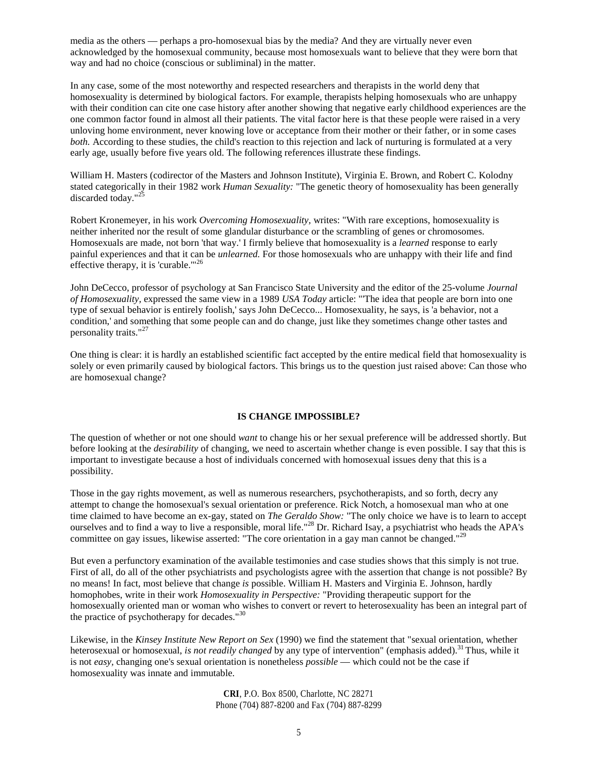media as the others — perhaps a pro-homosexual bias by the media? And they are virtually never even acknowledged by the homosexual community, because most homosexuals want to believe that they were born that way and had no choice (conscious or subliminal) in the matter.

In any case, some of the most noteworthy and respected researchers and therapists in the world deny that homosexuality is determined by biological factors. For example, therapists helping homosexuals who are unhappy with their condition can cite one case history after another showing that negative early childhood experiences are the one common factor found in almost all their patients. The vital factor here is that these people were raised in a very unloving home environment, never knowing love or acceptance from their mother or their father, or in some cases *both.* According to these studies, the child's reaction to this rejection and lack of nurturing is formulated at a very early age, usually before five years old. The following references illustrate these findings.

William H. Masters (codirector of the Masters and Johnson Institute), Virginia E. Brown, and Robert C. Kolodny stated categorically in their 1982 work *Human Sexuality:* "The genetic theory of homosexuality has been generally discarded today."<sup>25</sup>

Robert Kronemeyer, in his work *Overcoming Homosexuality,* writes: "With rare exceptions, homosexuality is neither inherited nor the result of some glandular disturbance or the scrambling of genes or chromosomes. Homosexuals are made, not born 'that way.' I firmly believe that homosexuality is a *learned* response to early painful experiences and that it can be *unlearned.* For those homosexuals who are unhappy with their life and find effective therapy, it is 'curable.'"<sup>26</sup>

John DeCecco, professor of psychology at San Francisco State University and the editor of the 25-volume *Journal of Homosexuality,* expressed the same view in a 1989 *USA Today* article: "'The idea that people are born into one type of sexual behavior is entirely foolish,' says John DeCecco... Homosexuality, he says, is 'a behavior, not a condition,' and something that some people can and do change, just like they sometimes change other tastes and personality traits."<sup>27</sup>

One thing is clear: it is hardly an established scientific fact accepted by the entire medical field that homosexuality is solely or even primarily caused by biological factors. This brings us to the question just raised above: Can those who are homosexual change?

## **IS CHANGE IMPOSSIBLE?**

The question of whether or not one should *want* to change his or her sexual preference will be addressed shortly. But before looking at the *desirability* of changing, we need to ascertain whether change is even possible. I say that this is important to investigate because a host of individuals concerned with homosexual issues deny that this is a possibility.

Those in the gay rights movement, as well as numerous researchers, psychotherapists, and so forth, decry any attempt to change the homosexual's sexual orientation or preference. Rick Notch, a homosexual man who at one time claimed to have become an ex-gay, stated on *The Geraldo Show:* "The only choice we have is to learn to accept ourselves and to find a way to live a responsible, moral life."<sup>28</sup> Dr. Richard Isay, a psychiatrist who heads the APA's committee on gay issues, likewise asserted: "The core orientation in a gay man cannot be changed."<sup>29</sup>

But even a perfunctory examination of the available testimonies and case studies shows that this simply is not true. First of all, do all of the other psychiatrists and psychologists agree with the assertion that change is not possible? By no means! In fact, most believe that change *is* possible. William H. Masters and Virginia E. Johnson, hardly homophobes, write in their work *Homosexuality in Perspective:* "Providing therapeutic support for the homosexually oriented man or woman who wishes to convert or revert to heterosexuality has been an integral part of the practice of psychotherapy for decades."<sup>30</sup>

Likewise, in the *Kinsey Institute New Report on Sex* (1990) we find the statement that "sexual orientation, whether heterosexual or homosexual, *is not readily changed* by any type of intervention" (emphasis added).<sup>31</sup> Thus, while it is not *easy,* changing one's sexual orientation is nonetheless *possible* — which could not be the case if homosexuality was innate and immutable.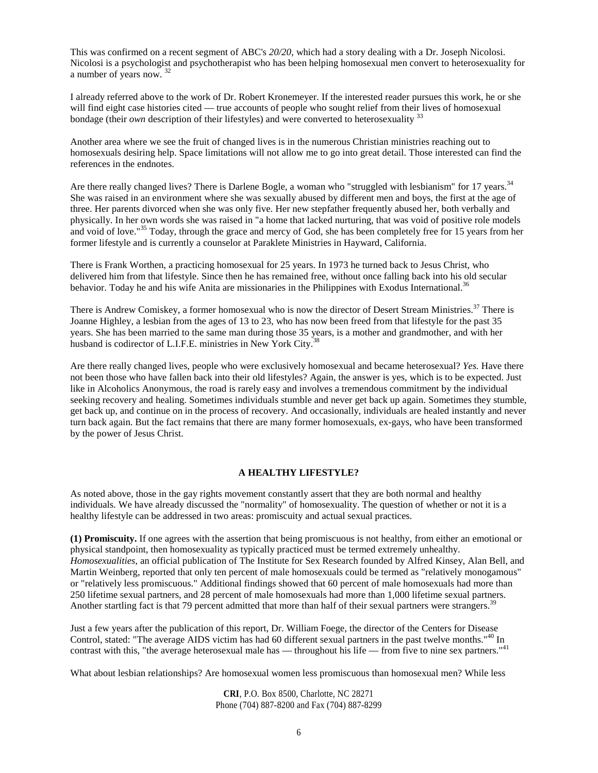This was confirmed on a recent segment of ABC's *20/20,* which had a story dealing with a Dr. Joseph Nicolosi. Nicolosi is a psychologist and psychotherapist who has been helping homosexual men convert to heterosexuality for a number of years now. <sup>32</sup>

I already referred above to the work of Dr. Robert Kronemeyer. If the interested reader pursues this work, he or she will find eight case histories cited — true accounts of people who sought relief from their lives of homosexual bondage (their *own* description of their lifestyles) and were converted to heterosexuality <sup>33</sup>

Another area where we see the fruit of changed lives is in the numerous Christian ministries reaching out to homosexuals desiring help. Space limitations will not allow me to go into great detail. Those interested can find the references in the endnotes.

Are there really changed lives? There is Darlene Bogle, a woman who "struggled with lesbianism" for 17 years.<sup>34</sup> She was raised in an environment where she was sexually abused by different men and boys, the first at the age of three. Her parents divorced when she was only five. Her new stepfather frequently abused her, both verbally and physically. In her own words she was raised in "a home that lacked nurturing, that was void of positive role models and void of love."<sup>35</sup> Today, through the grace and mercy of God, she has been completely free for 15 years from her former lifestyle and is currently a counselor at Paraklete Ministries in Hayward, California.

There is Frank Worthen, a practicing homosexual for 25 years. In 1973 he turned back to Jesus Christ, who delivered him from that lifestyle. Since then he has remained free, without once falling back into his old secular behavior. Today he and his wife Anita are missionaries in the Philippines with Exodus International.<sup>36</sup>

There is Andrew Comiskey, a former homosexual who is now the director of Desert Stream Ministries.<sup>37</sup> There is Joanne Highley, a lesbian from the ages of 13 to 23, who has now been freed from that lifestyle for the past 35 years. She has been married to the same man during those 35 years, is a mother and grandmother, and with her husband is codirector of L.I.F.E. ministries in New York City.<sup>3</sup>

Are there really changed lives, people who were exclusively homosexual and became heterosexual? *Yes.* Have there not been those who have fallen back into their old lifestyles? Again, the answer is yes, which is to be expected. Just like in Alcoholics Anonymous, the road is rarely easy and involves a tremendous commitment by the individual seeking recovery and healing. Sometimes individuals stumble and never get back up again. Sometimes they stumble, get back up, and continue on in the process of recovery. And occasionally, individuals are healed instantly and never turn back again. But the fact remains that there are many former homosexuals, ex-gays, who have been transformed by the power of Jesus Christ.

## **A HEALTHY LIFESTYLE?**

As noted above, those in the gay rights movement constantly assert that they are both normal and healthy individuals. We have already discussed the "normality" of homosexuality. The question of whether or not it is a healthy lifestyle can be addressed in two areas: promiscuity and actual sexual practices.

**(1) Promiscuity.** If one agrees with the assertion that being promiscuous is not healthy, from either an emotional or physical standpoint, then homosexuality as typically practiced must be termed extremely unhealthy. *Homosexualities,* an official publication of The Institute for Sex Research founded by Alfred Kinsey, Alan Bell, and Martin Weinberg, reported that only ten percent of male homosexuals could be termed as "relatively monogamous" or "relatively less promiscuous." Additional findings showed that 60 percent of male homosexuals had more than 250 lifetime sexual partners, and 28 percent of male homosexuals had more than 1,000 lifetime sexual partners. Another startling fact is that 79 percent admitted that more than half of their sexual partners were strangers.<sup>39</sup>

Just a few years after the publication of this report, Dr. William Foege, the director of the Centers for Disease Control, stated: "The average AIDS victim has had 60 different sexual partners in the past twelve months."<sup>40</sup> In contrast with this, "the average heterosexual male has — throughout his life — from five to nine sex partners."<sup>41</sup>

What about lesbian relationships? Are homosexual women less promiscuous than homosexual men? While less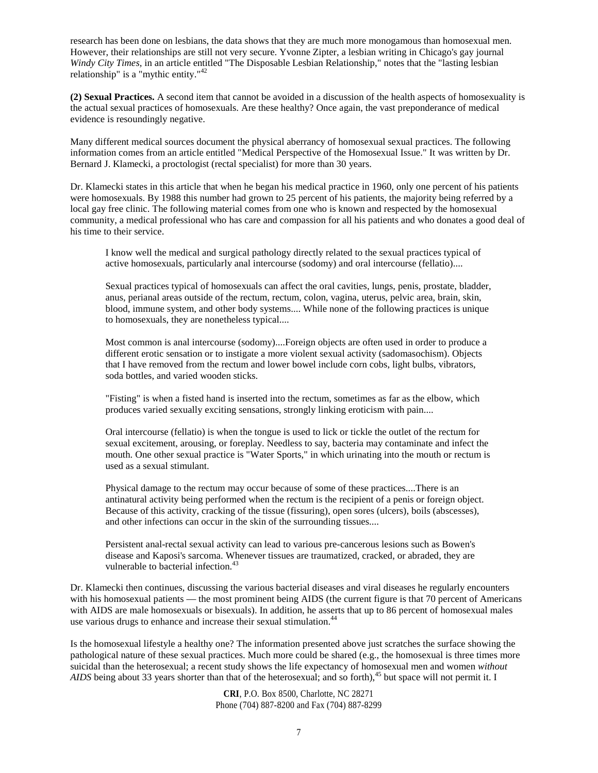research has been done on lesbians, the data shows that they are much more monogamous than homosexual men. However, their relationships are still not very secure. Yvonne Zipter, a lesbian writing in Chicago's gay journal *Windy City Times,* in an article entitled "The Disposable Lesbian Relationship," notes that the "lasting lesbian relationship" is a "mythic entity." $42$ 

**(2) Sexual Practices.** A second item that cannot be avoided in a discussion of the health aspects of homosexuality is the actual sexual practices of homosexuals. Are these healthy? Once again, the vast preponderance of medical evidence is resoundingly negative.

Many different medical sources document the physical aberrancy of homosexual sexual practices. The following information comes from an article entitled "Medical Perspective of the Homosexual Issue." It was written by Dr. Bernard J. Klamecki, a proctologist (rectal specialist) for more than 30 years.

Dr. Klamecki states in this article that when he began his medical practice in 1960, only one percent of his patients were homosexuals. By 1988 this number had grown to 25 percent of his patients, the majority being referred by a local gay free clinic. The following material comes from one who is known and respected by the homosexual community, a medical professional who has care and compassion for all his patients and who donates a good deal of his time to their service.

I know well the medical and surgical pathology directly related to the sexual practices typical of active homosexuals, particularly anal intercourse (sodomy) and oral intercourse (fellatio)....

Sexual practices typical of homosexuals can affect the oral cavities, lungs, penis, prostate, bladder, anus, perianal areas outside of the rectum, rectum, colon, vagina, uterus, pelvic area, brain, skin, blood, immune system, and other body systems.... While none of the following practices is unique to homosexuals, they are nonetheless typical....

Most common is anal intercourse (sodomy)....Foreign objects are often used in order to produce a different erotic sensation or to instigate a more violent sexual activity (sadomasochism). Objects that I have removed from the rectum and lower bowel include corn cobs, light bulbs, vibrators, soda bottles, and varied wooden sticks.

"Fisting" is when a fisted hand is inserted into the rectum, sometimes as far as the elbow, which produces varied sexually exciting sensations, strongly linking eroticism with pain....

Oral intercourse (fellatio) is when the tongue is used to lick or tickle the outlet of the rectum for sexual excitement, arousing, or foreplay. Needless to say, bacteria may contaminate and infect the mouth. One other sexual practice is "Water Sports," in which urinating into the mouth or rectum is used as a sexual stimulant.

Physical damage to the rectum may occur because of some of these practices....There is an antinatural activity being performed when the rectum is the recipient of a penis or foreign object. Because of this activity, cracking of the tissue (fissuring), open sores (ulcers), boils (abscesses), and other infections can occur in the skin of the surrounding tissues....

Persistent anal-rectal sexual activity can lead to various pre-cancerous lesions such as Bowen's disease and Kaposi's sarcoma. Whenever tissues are traumatized, cracked, or abraded, they are vulnerable to bacterial infection.<sup>43</sup>

Dr. Klamecki then continues, discussing the various bacterial diseases and viral diseases he regularly encounters with his homosexual patients — the most prominent being AIDS (the current figure is that 70 percent of Americans with AIDS are male homosexuals or bisexuals). In addition, he asserts that up to 86 percent of homosexual males use various drugs to enhance and increase their sexual stimulation.<sup>44</sup>

Is the homosexual lifestyle a healthy one? The information presented above just scratches the surface showing the pathological nature of these sexual practices. Much more could be shared (e.g., the homosexual is three times more suicidal than the heterosexual; a recent study shows the life expectancy of homosexual men and women *without AIDS* being about 33 years shorter than that of the heterosexual; and so forth),<sup>45</sup> but space will not permit it. I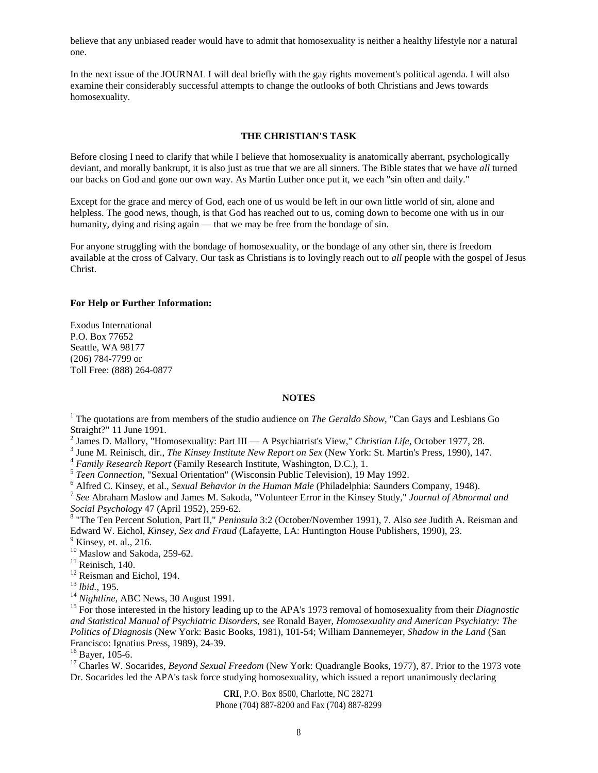believe that any unbiased reader would have to admit that homosexuality is neither a healthy lifestyle nor a natural one.

In the next issue of the JOURNAL I will deal briefly with the gay rights movement's political agenda. I will also examine their considerably successful attempts to change the outlooks of both Christians and Jews towards homosexuality.

# **THE CHRISTIAN'S TASK**

Before closing I need to clarify that while I believe that homosexuality is anatomically aberrant, psychologically deviant, and morally bankrupt, it is also just as true that we are all sinners. The Bible states that we have *all* turned our backs on God and gone our own way. As Martin Luther once put it, we each "sin often and daily."

Except for the grace and mercy of God, each one of us would be left in our own little world of sin, alone and helpless. The good news, though, is that God has reached out to us, coming down to become one with us in our humanity, dying and rising again — that we may be free from the bondage of sin.

For anyone struggling with the bondage of homosexuality, or the bondage of any other sin, there is freedom available at the cross of Calvary. Our task as Christians is to lovingly reach out to *all* people with the gospel of Jesus Christ.

## **For Help or Further Information:**

Exodus International P.O. Box 77652 Seattle, WA 98177 (206) 784-7799 or Toll Free: (888) 264-0877

#### **NOTES**

<sup>1</sup> The quotations are from members of the studio audience on *The Geraldo Show*, "Can Gays and Lesbians Go Straight?" 11 June 1991.

2 James D. Mallory, "Homosexuality: Part III — A Psychiatrist's View," *Christian Life,* October 1977, 28.

3 June M. Reinisch, dir., *The Kinsey Institute New Report on Sex* (New York: St. Martin's Press, 1990), 147.

<sup>4</sup> *Family Research Report* (Family Research Institute, Washington, D.C.), 1.

5 *Teen Connection,* "Sexual Orientation" (Wisconsin Public Television), 19 May 1992.

<sup>6</sup> Alfred C. Kinsey, et al., *Sexual Behavior in the Human Male* (Philadelphia: Saunders Company, 1948).

7 *See* Abraham Maslow and James M. Sakoda, "Volunteer Error in the Kinsey Study," *Journal of Abnormal and Social Psychology* 47 (April 1952), 259-62.

8 "The Ten Percent Solution, Part II," *Peninsula* 3:2 (October/November 1991), 7. Also *see* Judith A. Reisman and Edward W. Eichol, *Kinsey, Sex and Fraud* (Lafayette, LA: Huntington House Publishers, 1990), 23.

 $<sup>9</sup>$  Kinsey, et. al., 216.</sup>

<sup>10</sup> Maslow and Sakoda, 259-62.

 $11$  Reinisch, 140.

<sup>12</sup> Reisman and Eichol, 194.

<sup>13</sup> *lbid.,* 195.

<sup>14</sup> *Nightline,* ABC News, 30 August 1991.

<sup>15</sup> For those interested in the history leading up to the APA's 1973 removal of homosexuality from their *Diagnostic and Statistical Manual of Psychiatric Disorders, see* Ronald Bayer, *Homosexuality and American Psychiatry: The Politics of Diagnosis* (New York: Basic Books, 1981), 101-54; William Dannemeyer, *Shadow in the Land* (San Francisco: Ignatius Press, 1989), 24-39.

<sup>16</sup> Bayer, 105-6.

<sup>17</sup> Charles W. Socarides, *Beyond Sexual Freedom* (New York: Quadrangle Books, 1977), 87. Prior to the 1973 vote Dr. Socarides led the APA's task force studying homosexuality, which issued a report unanimously declaring